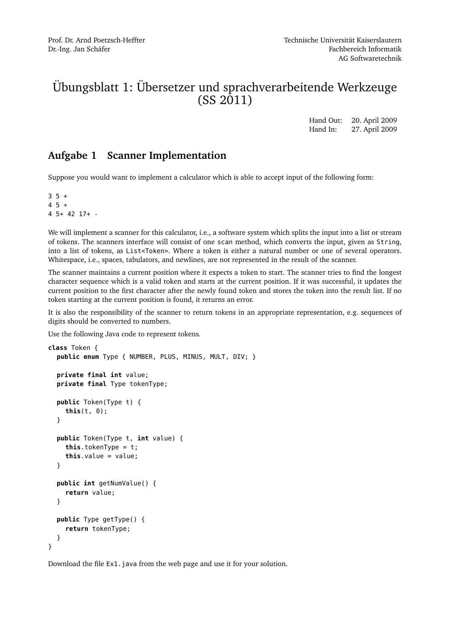# Übungsblatt 1: Übersetzer und sprachverarbeitende Werkzeuge (SS 2011)

Hand Out: 20. April 2009 Hand In: 27. April 2009

### **Aufgabe 1 Scanner Implementation**

Suppose you would want to implement a calculator which is able to accept input of the following form:

 $3 \cdot 5 +$ 4 5 \* 4 5\* 42 17+ -

We will implement a scanner for this calculator, i.e., a software system which splits the input into a list or stream of tokens. The scanners interface will consist of one scan method, which converts the input, given as String, into a list of tokens, as List<Token>. Where a token is either a natural number or one of several operators. Whitespace, i.e., spaces, tabulators, and newlines, are not represented in the result of the scanner.

The scanner maintains a current position where it expects a token to start. The scanner tries to find the longest character sequence which is a valid token and starts at the current position. If it was successful, it updates the current position to the first character after the newly found token and stores the token into the result list. If no token starting at the current position is found, it returns an error.

It is also the responsibility of the scanner to return tokens in an appropriate representation, e.g. sequences of digits should be converted to numbers.

Use the following Java code to represent tokens.

```
class Token {
  public enum Type { NUMBER, PLUS, MINUS, MULT, DIV; }
  private final int value;
  private final Type tokenType;
 public Token(Type t) {
    this(t, 0);
  }
 public Token(Type t, int value) {
    this.tokenType = t;
    this.value = value;
  }
 public int getNumValue() {
    return value;
  }
  public Type getType() {
    return tokenType;
  }
}
```
Download the file Ex1.java from the web page and use it for your solution.